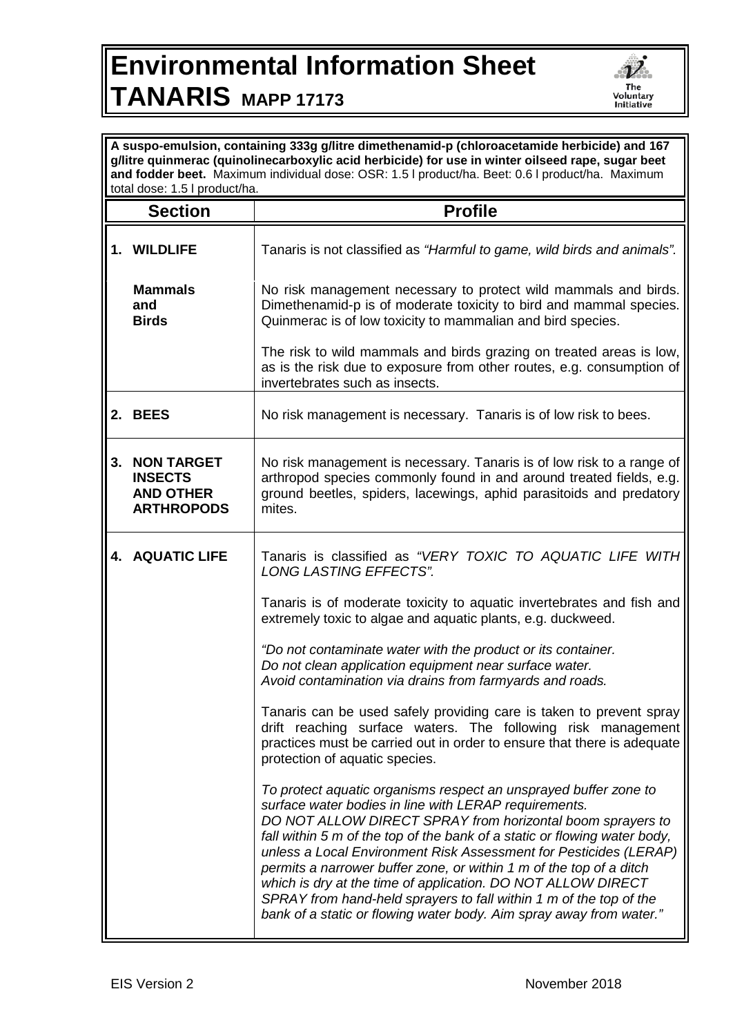## **Environmental Information Sheet TANARIS MAPP 17173**



| A suspo-emulsion, containing 333g g/litre dimethenamid-p (chloroacetamide herbicide) and 167<br>g/litre quinmerac (quinolinecarboxylic acid herbicide) for use in winter oilseed rape, sugar beet<br>and fodder beet. Maximum individual dose: OSR: 1.5   product/ha. Beet: 0.6   product/ha. Maximum<br>total dose: 1.5 I product/ha. |                                                                              |                                                                                                                                                                                                                                                                                                                                                                                                                                                                                                                                                                                                                               |  |
|----------------------------------------------------------------------------------------------------------------------------------------------------------------------------------------------------------------------------------------------------------------------------------------------------------------------------------------|------------------------------------------------------------------------------|-------------------------------------------------------------------------------------------------------------------------------------------------------------------------------------------------------------------------------------------------------------------------------------------------------------------------------------------------------------------------------------------------------------------------------------------------------------------------------------------------------------------------------------------------------------------------------------------------------------------------------|--|
|                                                                                                                                                                                                                                                                                                                                        | <b>Section</b>                                                               | <b>Profile</b>                                                                                                                                                                                                                                                                                                                                                                                                                                                                                                                                                                                                                |  |
|                                                                                                                                                                                                                                                                                                                                        | 1. WILDLIFE                                                                  | Tanaris is not classified as "Harmful to game, wild birds and animals".                                                                                                                                                                                                                                                                                                                                                                                                                                                                                                                                                       |  |
|                                                                                                                                                                                                                                                                                                                                        | <b>Mammals</b><br>and<br><b>Birds</b>                                        | No risk management necessary to protect wild mammals and birds.<br>Dimethenamid-p is of moderate toxicity to bird and mammal species.<br>Quinmerac is of low toxicity to mammalian and bird species.                                                                                                                                                                                                                                                                                                                                                                                                                          |  |
|                                                                                                                                                                                                                                                                                                                                        |                                                                              | The risk to wild mammals and birds grazing on treated areas is low,<br>as is the risk due to exposure from other routes, e.g. consumption of<br>invertebrates such as insects.                                                                                                                                                                                                                                                                                                                                                                                                                                                |  |
|                                                                                                                                                                                                                                                                                                                                        | 2. BEES                                                                      | No risk management is necessary. Tanaris is of low risk to bees.                                                                                                                                                                                                                                                                                                                                                                                                                                                                                                                                                              |  |
| 3.                                                                                                                                                                                                                                                                                                                                     | <b>NON TARGET</b><br><b>INSECTS</b><br><b>AND OTHER</b><br><b>ARTHROPODS</b> | No risk management is necessary. Tanaris is of low risk to a range of<br>arthropod species commonly found in and around treated fields, e.g.<br>ground beetles, spiders, lacewings, aphid parasitoids and predatory<br>mites.                                                                                                                                                                                                                                                                                                                                                                                                 |  |
|                                                                                                                                                                                                                                                                                                                                        | <b>4. AQUATIC LIFE</b>                                                       | Tanaris is classified as "VERY TOXIC TO AQUATIC LIFE WITH<br><b>LONG LASTING EFFECTS".</b>                                                                                                                                                                                                                                                                                                                                                                                                                                                                                                                                    |  |
|                                                                                                                                                                                                                                                                                                                                        |                                                                              | Tanaris is of moderate toxicity to aquatic invertebrates and fish and<br>extremely toxic to algae and aquatic plants, e.g. duckweed.                                                                                                                                                                                                                                                                                                                                                                                                                                                                                          |  |
|                                                                                                                                                                                                                                                                                                                                        |                                                                              | "Do not contaminate water with the product or its container.<br>Do not clean application equipment near surface water.<br>Avoid contamination via drains from farmyards and roads.                                                                                                                                                                                                                                                                                                                                                                                                                                            |  |
|                                                                                                                                                                                                                                                                                                                                        |                                                                              | Tanaris can be used safely providing care is taken to prevent spray<br>drift reaching surface waters. The following risk management<br>practices must be carried out in order to ensure that there is adequate<br>protection of aquatic species.                                                                                                                                                                                                                                                                                                                                                                              |  |
|                                                                                                                                                                                                                                                                                                                                        |                                                                              | To protect aquatic organisms respect an unsprayed buffer zone to<br>surface water bodies in line with LERAP requirements.<br>DO NOT ALLOW DIRECT SPRAY from horizontal boom sprayers to<br>fall within 5 m of the top of the bank of a static or flowing water body,<br>unless a Local Environment Risk Assessment for Pesticides (LERAP)<br>permits a narrower buffer zone, or within 1 m of the top of a ditch<br>which is dry at the time of application. DO NOT ALLOW DIRECT<br>SPRAY from hand-held sprayers to fall within 1 m of the top of the<br>bank of a static or flowing water body. Aim spray away from water." |  |